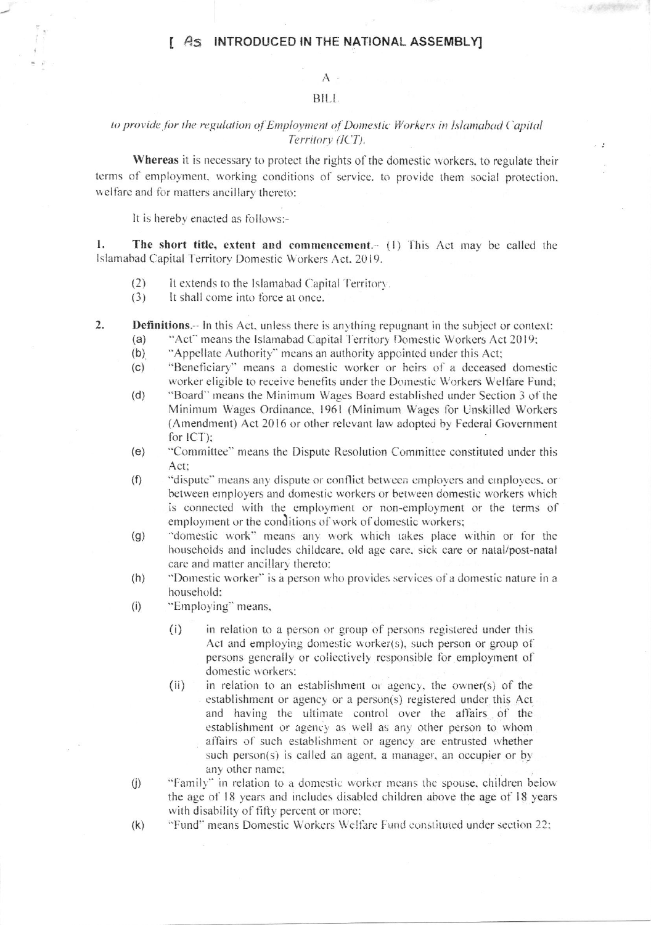## AS INTRODUCED IN THE NATIONAL ASSEMBLY]

## $A$ . BILL.

## to provide for the regulation of Employment of Domestic Workers in Islamabad Capital Territory (ICT).

Whereas it is necessary to protect the rights of the domestic workers, to regulate their terms of employment, working conditions of service, to provide them social protection, welfare and for matters ancillary thereto:

It is hereby enacted as follows:-

 $\mathbf{1}$ . The short title, extent and commencement.- (1) This Act may be called the Islamabad Capital Territory Domestic Workers Act, 2019.

- $(2)$ It extends to the Islamabad Capital Territory.
- $(3)$ It shall come into force at once.
- $2.$ **Definitions.**-- In this Act, unless there is anything repugnant in the subject or context:
	- "Act" means the Islamabad Capital Territory Domestic Workers Act 2019;  $(a)$
	- "Appellate Authority" means an authority appointed under this Act;  $(b)$
	- $(c)$ "Beneficiary" means a domestic worker or heirs of a deceased domestic worker eligible to receive benefits under the Domestic Workers Welfare Fund;
	- "Board" means the Minimum Wages Board established under Section 3 of the  $(d)$ Minimum Wages Ordinance, 1961 (Minimum Wages for Unskilled Workers (Amendment) Act 2016 or other relevant law adopted by Federal Government for ICT);
	- "Committee" means the Dispute Resolution Committee constituted under this  $(e)$ Act:
	- $(f)$ "dispute" means any dispute or conflict between employers and employees, or between employers and domestic workers or between domestic workers which is connected with the employment or non-employment or the terms of employment or the conditions of work of domestic workers;
	- "domestic work" means any work which takes place within or for the  $(g)$ households and includes childcare, old age care, sick care or natal/post-natal care and matter ancillary thereto:
	- "Domestic worker" is a person who provides services of a domestic nature in a  $(h)$ household:
	- $(i)$ "Employing" means,
		- in relation to a person or group of persons registered under this  $(i)$ Act and employing domestic worker(s), such person or group of persons generally or collectively responsible for employment of domestic workers:
		- $(ii)$ in relation to an establishment or agency, the owner(s) of the establishment or agency or a person(s) registered under this Act and having the ultimate control over the affairs of the establishment or agency as well as any other person to whom affairs of such establishment or agency are entrusted whether such person(s) is called an agent, a manager, an occupier or by any other name;
	- "Family" in relation to a domestic worker means the spouse, children below  $(j)$ the age of 18 years and includes disabled children above the age of 18 years with disability of fifty percent or more;
	- "Fund" means Domestic Workers Welfare Fund constituted under section 22;  $(k)$